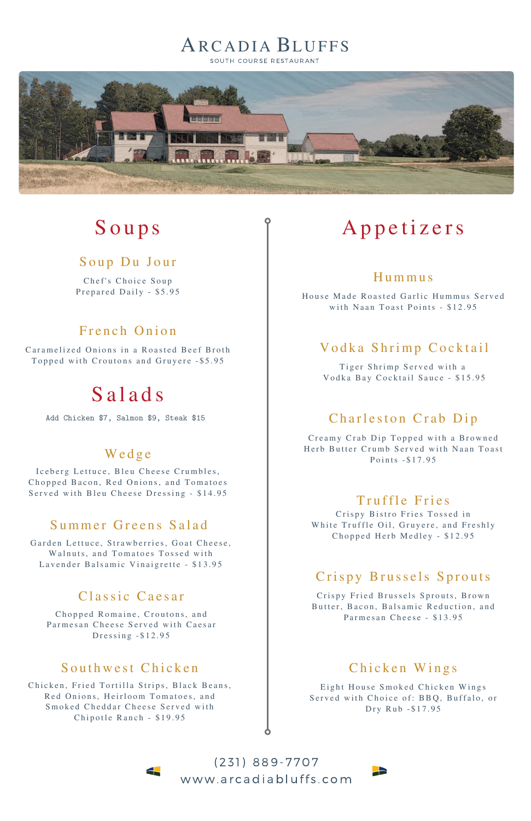# ARCADIA BLUFFS

SOUTH COURSE RESTAURANT



# S o u p s

#### Soup Du Jour

Chef's Choice Soup Prepared Daily - \$5.95

### French Onion

Caramelized Onions in a Roasted Beef Broth Topped with Croutons and Gruyere - \$5.95

# S a l a d s

### We d g e

Iceberg Lettuce, Bleu Cheese Crumbles, Chopped Bacon, Red Onions, and Tomatoes Served with Bleu Cheese Dressing - \$14.95

## Summer Greens Salad

Garden Lettuce, Strawberries, Goat Cheese, Walnuts, and Tomatoes Tossed with Lavender Balsamic Vinaigrette - \$13.95

#### Classic Caesar

# A p p e t i z e rs

### H ummu s

House Made Roasted Garlic Hummus Served with Naan Toast Points -  $$12.95$ 

### Vodka Shrimp Cocktail

Tiger Shrimp Served with a Vodka Bay Cocktail Sauce - \$15.95

## Charleston Crab Dip

Creamy Crab Dip Topped with a Browned Herb Butter Crumb Served with Naan Toast Points - \$17.95

#### Truffle Fries

Crispy Bistro Fries Tossed in White Truffle Oil, Gruyere, and Freshly Chopped Herb Medley - \$12.95

## Crispy Brussels Sprouts

Crispy Fried Brussels Sprouts, Brown

Chopped Romaine, Croutons, and Parmesan Cheese Served with Caesar Dressing  $-$  \$12.95

#### Southwest Chicken

Chicken, Fried Tortilla Strips, Black Beans, Red Onions, Heirloom Tomatoes, and Smoked Cheddar Cheese Served with Chipotle Ranch - \$19.95

 $\blacktriangle$ 

Butter, Bacon, Balsamic Reduction, and Parmesan Cheese - \$13.95

### Chicken Wings

Eight House Smoked Chicken Wings Served with Choice of: BBQ, Buffalo, or Dry Rub - \$17.95

2

( 2 3 1) 889- 7 707 www.arcadiabluffs.com

Add Chicken \$7, Salmon \$9, Steak \$15